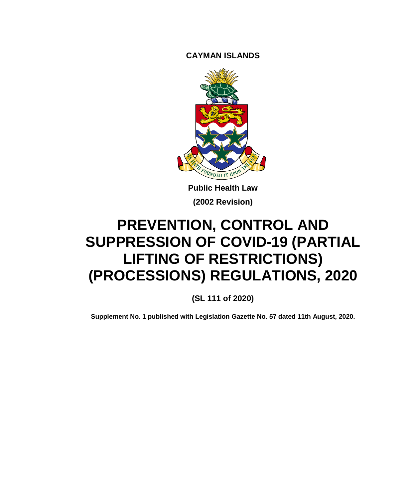**CAYMAN ISLANDS**



**Public Health Law (2002 Revision)**

# **PREVENTION, CONTROL AND SUPPRESSION OF COVID-19 (PARTIAL LIFTING OF RESTRICTIONS) (PROCESSIONS) REGULATIONS, 2020**

**(SL 111 of 2020)**

**Supplement No. 1 published with Legislation Gazette No. 57 dated 11th August, 2020.**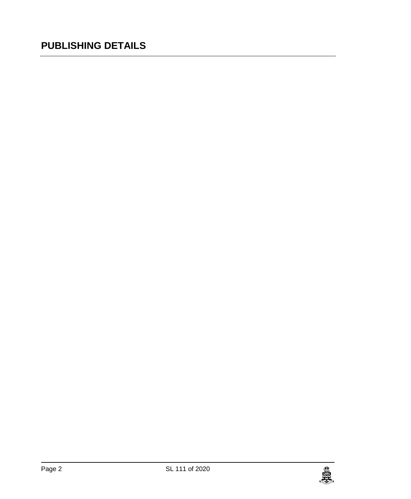### **PUBLISHING DETAILS**

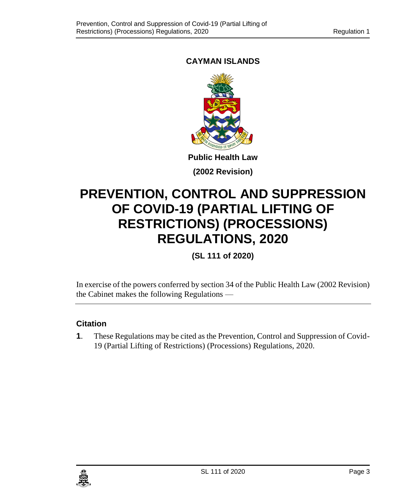### **CAYMAN ISLANDS**



**(2002 Revision)**

## **PREVENTION, CONTROL AND SUPPRESSION OF COVID-19 (PARTIAL LIFTING OF RESTRICTIONS) (PROCESSIONS) REGULATIONS, 2020**

**(SL 111 of 2020)**

In exercise of the powers conferred by section 34 of the Public Health Law (2002 Revision) the Cabinet makes the following Regulations —

### **1. Citation**

**1**. These Regulations may be cited as the Prevention, Control and Suppression of Covid-19 (Partial Lifting of Restrictions) (Processions) Regulations, 2020.